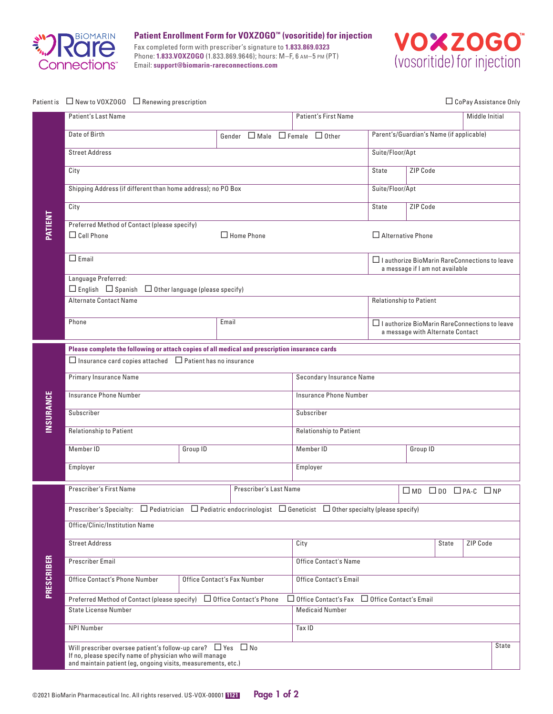

**Patient Enrollment Form for VOXZOGO™ (vosoritide) for injection**

Fax completed form with prescriber's signature to **1.833.869.0323** Phone: **1.833.VOXZOGO** (1.833.869.9646); hours: M–F, 6 am–5 pm (PT) Email: **support@biomarin-rareconnections.com**



|            | Patient is □ New to V0XZ0G0 □ Renewing prescription                                                                                    |                                                                      |  |  |  |                                                           | □ CoPay Assistance Only                                                                 |                                                                                          |              |              |                |  |
|------------|----------------------------------------------------------------------------------------------------------------------------------------|----------------------------------------------------------------------|--|--|--|-----------------------------------------------------------|-----------------------------------------------------------------------------------------|------------------------------------------------------------------------------------------|--------------|--------------|----------------|--|
| PATIENT    | <b>Patient's Last Name</b>                                                                                                             |                                                                      |  |  |  |                                                           | <b>Patient's First Name</b>                                                             |                                                                                          |              |              | Middle Initial |  |
|            | Date of Birth                                                                                                                          |                                                                      |  |  |  |                                                           | Gender $\Box$ Male $\Box$ Female $\Box$ Other                                           | Parent's/Guardian's Name (if applicable)                                                 |              |              |                |  |
|            | <b>Street Address</b>                                                                                                                  |                                                                      |  |  |  |                                                           |                                                                                         | Suite/Floor/Apt                                                                          |              |              |                |  |
|            | City                                                                                                                                   |                                                                      |  |  |  |                                                           | State                                                                                   | ZIP Code                                                                                 |              |              |                |  |
|            | Shipping Address (if different than home address); no PO Box                                                                           |                                                                      |  |  |  |                                                           |                                                                                         | Suite/Floor/Apt                                                                          |              |              |                |  |
|            | City                                                                                                                                   |                                                                      |  |  |  |                                                           |                                                                                         | State                                                                                    | ZIP Code     |              |                |  |
|            | Preferred Method of Contact (please specify)                                                                                           |                                                                      |  |  |  |                                                           |                                                                                         |                                                                                          |              |              |                |  |
|            | $\Box$ Cell Phone<br>$\Box$ Home Phone                                                                                                 |                                                                      |  |  |  |                                                           |                                                                                         | $\Box$ Alternative Phone                                                                 |              |              |                |  |
|            | $\Box$ Email                                                                                                                           |                                                                      |  |  |  |                                                           | $\Box$ I authorize BioMarin RareConnections to leave<br>a message if I am not available |                                                                                          |              |              |                |  |
|            | Language Preferred:                                                                                                                    | $\Box$ English $\Box$ Spanish $\Box$ Other language (please specify) |  |  |  |                                                           |                                                                                         |                                                                                          |              |              |                |  |
|            | <b>Alternate Contact Name</b>                                                                                                          |                                                                      |  |  |  |                                                           | <b>Relationship to Patient</b>                                                          |                                                                                          |              |              |                |  |
|            | Email<br>Phone                                                                                                                         |                                                                      |  |  |  |                                                           |                                                                                         | $\Box$ I authorize BioMarin RareConnections to leave<br>a message with Alternate Contact |              |              |                |  |
|            | Please complete the following or attach copies of all medical and prescription insurance cards                                         |                                                                      |  |  |  |                                                           |                                                                                         |                                                                                          |              |              |                |  |
| INSURANCE  | $\Box$ Insurance card copies attached $\Box$ Patient has no insurance                                                                  |                                                                      |  |  |  |                                                           |                                                                                         |                                                                                          |              |              |                |  |
|            | <b>Primary Insurance Name</b>                                                                                                          |                                                                      |  |  |  | Secondary Insurance Name                                  |                                                                                         |                                                                                          |              |              |                |  |
|            | Insurance Phone Number                                                                                                                 |                                                                      |  |  |  | <b>Insurance Phone Number</b>                             |                                                                                         |                                                                                          |              |              |                |  |
|            | Subscriber                                                                                                                             |                                                                      |  |  |  | Subscriber                                                |                                                                                         |                                                                                          |              |              |                |  |
|            | Relationship to Patient                                                                                                                |                                                                      |  |  |  | <b>Relationship to Patient</b>                            |                                                                                         |                                                                                          |              |              |                |  |
|            | Member ID                                                                                                                              | Group ID                                                             |  |  |  | Member ID                                                 |                                                                                         |                                                                                          | Group ID     |              |                |  |
|            | Employer                                                                                                                               |                                                                      |  |  |  | Employer                                                  |                                                                                         |                                                                                          |              |              |                |  |
|            | <b>Prescriber's First Name</b><br>Prescriber's Last Name                                                                               |                                                                      |  |  |  |                                                           |                                                                                         | $\square$ MD $\square$ DO $\square$ PA-C $\square$ NP                                    |              |              |                |  |
| PRESCRIBER | Prescriber's Specialty: $\Box$ Pediatrician $\Box$ Pediatric endocrinologist $\Box$ Geneticist $\Box$ Other specialty (please specify) |                                                                      |  |  |  |                                                           |                                                                                         |                                                                                          |              |              |                |  |
|            | Office/Clinic/Institution Name                                                                                                         |                                                                      |  |  |  |                                                           |                                                                                         |                                                                                          |              |              |                |  |
|            | <b>Street Address</b>                                                                                                                  |                                                                      |  |  |  | City                                                      |                                                                                         |                                                                                          |              | <b>State</b> | ZIP Code       |  |
|            | <b>Prescriber Email</b>                                                                                                                |                                                                      |  |  |  | <b>Office Contact's Name</b>                              |                                                                                         |                                                                                          |              |              |                |  |
|            | Office Contact's Phone Number<br>Office Contact's Fax Number                                                                           |                                                                      |  |  |  | <b>Office Contact's Email</b>                             |                                                                                         |                                                                                          |              |              |                |  |
|            | Preferred Method of Contact (please specify) $\Box$ Office Contact's Phone                                                             |                                                                      |  |  |  | $\Box$ Office Contact's Fax $\Box$ Office Contact's Email |                                                                                         |                                                                                          |              |              |                |  |
|            | <b>State License Number</b>                                                                                                            |                                                                      |  |  |  | <b>Medicaid Number</b>                                    |                                                                                         |                                                                                          |              |              |                |  |
|            | <b>NPI Number</b>                                                                                                                      |                                                                      |  |  |  | Tax ID                                                    |                                                                                         |                                                                                          |              |              |                |  |
|            | Will prescriber oversee patient's follow-up care? $\Box$ Yes $\Box$ No<br>If no, please specify name of physician who will manage      |                                                                      |  |  |  |                                                           |                                                                                         |                                                                                          | <b>State</b> |              |                |  |
|            | and maintain patient (eg, ongoing visits, measurements, etc.)                                                                          |                                                                      |  |  |  |                                                           |                                                                                         |                                                                                          |              |              |                |  |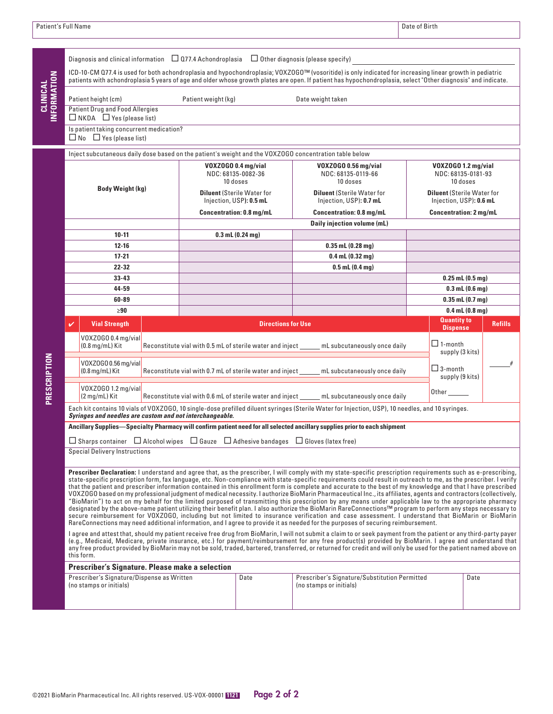|                                | Diagnosis and clinical information $\Box$ 077.4 Achondroplasia $\Box$ Other diagnosis (please specify)<br>ICD-10-CM Q77.4 is used for both achondroplasia and hypochondroplasia; VOXZOGO™ (vosoritide) is only indicated for increasing linear growth in pediatric                                                                                                                                                                                                                                                                                                                                                                                                                                                                                                                                                                                                                                                                                                                                                                                                                                                                                                                                                                                                                                                                                                                                                                                                                                                                                                                                                                                                                                                                                                                                                                                               |                                                                                                                                                                                     |                                                                                             |                                                       |  |  |  |  |  |  |  |
|--------------------------------|------------------------------------------------------------------------------------------------------------------------------------------------------------------------------------------------------------------------------------------------------------------------------------------------------------------------------------------------------------------------------------------------------------------------------------------------------------------------------------------------------------------------------------------------------------------------------------------------------------------------------------------------------------------------------------------------------------------------------------------------------------------------------------------------------------------------------------------------------------------------------------------------------------------------------------------------------------------------------------------------------------------------------------------------------------------------------------------------------------------------------------------------------------------------------------------------------------------------------------------------------------------------------------------------------------------------------------------------------------------------------------------------------------------------------------------------------------------------------------------------------------------------------------------------------------------------------------------------------------------------------------------------------------------------------------------------------------------------------------------------------------------------------------------------------------------------------------------------------------------|-------------------------------------------------------------------------------------------------------------------------------------------------------------------------------------|---------------------------------------------------------------------------------------------|-------------------------------------------------------|--|--|--|--|--|--|--|
| <b>INFORMATION</b><br>CLINICAL | Patient height (cm)                                                                                                                                                                                                                                                                                                                                                                                                                                                                                                                                                                                                                                                                                                                                                                                                                                                                                                                                                                                                                                                                                                                                                                                                                                                                                                                                                                                                                                                                                                                                                                                                                                                                                                                                                                                                                                              | patients with achondroplasia 5 years of age and older whose growth plates are open. If patient has hypochondroplasia, select "Other diagnosis" and indicate.<br>Patient weight (kg) |                                                                                             |                                                       |  |  |  |  |  |  |  |
|                                | <b>Patient Drug and Food Allergies</b>                                                                                                                                                                                                                                                                                                                                                                                                                                                                                                                                                                                                                                                                                                                                                                                                                                                                                                                                                                                                                                                                                                                                                                                                                                                                                                                                                                                                                                                                                                                                                                                                                                                                                                                                                                                                                           |                                                                                                                                                                                     | Date weight taken                                                                           |                                                       |  |  |  |  |  |  |  |
|                                | $\Box$ NKDA $\Box$ Yes (please list)                                                                                                                                                                                                                                                                                                                                                                                                                                                                                                                                                                                                                                                                                                                                                                                                                                                                                                                                                                                                                                                                                                                                                                                                                                                                                                                                                                                                                                                                                                                                                                                                                                                                                                                                                                                                                             |                                                                                                                                                                                     |                                                                                             |                                                       |  |  |  |  |  |  |  |
|                                | Is patient taking concurrent medication?                                                                                                                                                                                                                                                                                                                                                                                                                                                                                                                                                                                                                                                                                                                                                                                                                                                                                                                                                                                                                                                                                                                                                                                                                                                                                                                                                                                                                                                                                                                                                                                                                                                                                                                                                                                                                         |                                                                                                                                                                                     |                                                                                             |                                                       |  |  |  |  |  |  |  |
|                                | $\Box$ No $\Box$ Yes (please list)                                                                                                                                                                                                                                                                                                                                                                                                                                                                                                                                                                                                                                                                                                                                                                                                                                                                                                                                                                                                                                                                                                                                                                                                                                                                                                                                                                                                                                                                                                                                                                                                                                                                                                                                                                                                                               |                                                                                                                                                                                     |                                                                                             |                                                       |  |  |  |  |  |  |  |
|                                | Inject subcutaneous daily dose based on the patient's weight and the VOXZOGO concentration table below                                                                                                                                                                                                                                                                                                                                                                                                                                                                                                                                                                                                                                                                                                                                                                                                                                                                                                                                                                                                                                                                                                                                                                                                                                                                                                                                                                                                                                                                                                                                                                                                                                                                                                                                                           |                                                                                                                                                                                     |                                                                                             |                                                       |  |  |  |  |  |  |  |
|                                | <b>Body Weight (kg)</b>                                                                                                                                                                                                                                                                                                                                                                                                                                                                                                                                                                                                                                                                                                                                                                                                                                                                                                                                                                                                                                                                                                                                                                                                                                                                                                                                                                                                                                                                                                                                                                                                                                                                                                                                                                                                                                          | VOXZOGO 0.4 mg/vial<br>NDC: 68135-0082-36<br>10 doses                                                                                                                               | VOXZOGO 0.56 mg/vial<br>NDC: 68135-0119-66<br>10 doses<br><b>Diluent (Sterile Water for</b> | VOXZOGO 1.2 mg/vial<br>NDC: 68135-0181-93<br>10 doses |  |  |  |  |  |  |  |
|                                |                                                                                                                                                                                                                                                                                                                                                                                                                                                                                                                                                                                                                                                                                                                                                                                                                                                                                                                                                                                                                                                                                                                                                                                                                                                                                                                                                                                                                                                                                                                                                                                                                                                                                                                                                                                                                                                                  | <b>Diluent (Sterile Water for</b><br>Injection, USP): 0.5 mL                                                                                                                        | <b>Diluent (Sterile Water for</b><br>Injection, USP): 0.6 mL                                |                                                       |  |  |  |  |  |  |  |
|                                |                                                                                                                                                                                                                                                                                                                                                                                                                                                                                                                                                                                                                                                                                                                                                                                                                                                                                                                                                                                                                                                                                                                                                                                                                                                                                                                                                                                                                                                                                                                                                                                                                                                                                                                                                                                                                                                                  | <b>Concentration: 0.8 mg/mL</b>                                                                                                                                                     | Injection, USP): 0.7 mL<br><b>Concentration: 0.8 mg/mL</b>                                  |                                                       |  |  |  |  |  |  |  |
|                                |                                                                                                                                                                                                                                                                                                                                                                                                                                                                                                                                                                                                                                                                                                                                                                                                                                                                                                                                                                                                                                                                                                                                                                                                                                                                                                                                                                                                                                                                                                                                                                                                                                                                                                                                                                                                                                                                  |                                                                                                                                                                                     | Daily injection volume (mL)                                                                 | <b>Concentration: 2 mg/mL</b>                         |  |  |  |  |  |  |  |
|                                | $10 - 11$                                                                                                                                                                                                                                                                                                                                                                                                                                                                                                                                                                                                                                                                                                                                                                                                                                                                                                                                                                                                                                                                                                                                                                                                                                                                                                                                                                                                                                                                                                                                                                                                                                                                                                                                                                                                                                                        | $0.3$ mL $(0.24$ mg)                                                                                                                                                                |                                                                                             |                                                       |  |  |  |  |  |  |  |
|                                | $12 - 16$                                                                                                                                                                                                                                                                                                                                                                                                                                                                                                                                                                                                                                                                                                                                                                                                                                                                                                                                                                                                                                                                                                                                                                                                                                                                                                                                                                                                                                                                                                                                                                                                                                                                                                                                                                                                                                                        |                                                                                                                                                                                     | $0.35$ mL $(0.28$ mg)                                                                       |                                                       |  |  |  |  |  |  |  |
|                                | $17 - 21$                                                                                                                                                                                                                                                                                                                                                                                                                                                                                                                                                                                                                                                                                                                                                                                                                                                                                                                                                                                                                                                                                                                                                                                                                                                                                                                                                                                                                                                                                                                                                                                                                                                                                                                                                                                                                                                        |                                                                                                                                                                                     | $0.4$ mL $(0.32$ mg)                                                                        |                                                       |  |  |  |  |  |  |  |
|                                | $22 - 32$                                                                                                                                                                                                                                                                                                                                                                                                                                                                                                                                                                                                                                                                                                                                                                                                                                                                                                                                                                                                                                                                                                                                                                                                                                                                                                                                                                                                                                                                                                                                                                                                                                                                                                                                                                                                                                                        |                                                                                                                                                                                     | $0.5$ mL $(0.4$ mg)                                                                         |                                                       |  |  |  |  |  |  |  |
|                                | $33 - 43$                                                                                                                                                                                                                                                                                                                                                                                                                                                                                                                                                                                                                                                                                                                                                                                                                                                                                                                                                                                                                                                                                                                                                                                                                                                                                                                                                                                                                                                                                                                                                                                                                                                                                                                                                                                                                                                        |                                                                                                                                                                                     |                                                                                             | $0.25$ mL $(0.5$ mg)                                  |  |  |  |  |  |  |  |
|                                | 44-59                                                                                                                                                                                                                                                                                                                                                                                                                                                                                                                                                                                                                                                                                                                                                                                                                                                                                                                                                                                                                                                                                                                                                                                                                                                                                                                                                                                                                                                                                                                                                                                                                                                                                                                                                                                                                                                            |                                                                                                                                                                                     | $0.3$ mL $(0.6$ mg)                                                                         |                                                       |  |  |  |  |  |  |  |
|                                | 60-89                                                                                                                                                                                                                                                                                                                                                                                                                                                                                                                                                                                                                                                                                                                                                                                                                                                                                                                                                                                                                                                                                                                                                                                                                                                                                                                                                                                                                                                                                                                                                                                                                                                                                                                                                                                                                                                            |                                                                                                                                                                                     | $0.35$ mL $(0.7$ mg)                                                                        |                                                       |  |  |  |  |  |  |  |
|                                | $\geq 90$                                                                                                                                                                                                                                                                                                                                                                                                                                                                                                                                                                                                                                                                                                                                                                                                                                                                                                                                                                                                                                                                                                                                                                                                                                                                                                                                                                                                                                                                                                                                                                                                                                                                                                                                                                                                                                                        |                                                                                                                                                                                     |                                                                                             | $0.4$ mL $(0.8$ mg)<br><b>Quantity to</b>             |  |  |  |  |  |  |  |
|                                | <b>Vial Strength</b><br>✓                                                                                                                                                                                                                                                                                                                                                                                                                                                                                                                                                                                                                                                                                                                                                                                                                                                                                                                                                                                                                                                                                                                                                                                                                                                                                                                                                                                                                                                                                                                                                                                                                                                                                                                                                                                                                                        | <b>Directions for Use</b>                                                                                                                                                           | <b>Dispense</b>                                                                             | <b>Refills</b>                                        |  |  |  |  |  |  |  |
| PRESCRIPTION                   | V0XZ0G00.4 mg/vial<br>$(0.8 \text{ mg/mL})$ Kit                                                                                                                                                                                                                                                                                                                                                                                                                                                                                                                                                                                                                                                                                                                                                                                                                                                                                                                                                                                                                                                                                                                                                                                                                                                                                                                                                                                                                                                                                                                                                                                                                                                                                                                                                                                                                  | mL subcutaneously once daily<br>Reconstitute vial with 0.5 mL of sterile water and inject                                                                                           |                                                                                             |                                                       |  |  |  |  |  |  |  |
|                                | V0XZ0G00.56 mg/vial<br>$(0.8 \,\mathrm{mg/mL})$ Kit                                                                                                                                                                                                                                                                                                                                                                                                                                                                                                                                                                                                                                                                                                                                                                                                                                                                                                                                                                                                                                                                                                                                                                                                                                                                                                                                                                                                                                                                                                                                                                                                                                                                                                                                                                                                              | Reconstitute vial with 0.7 mL of sterile water and inject                                                                                                                           | $\Box$ 3-month<br>supply (9 kits)                                                           | #                                                     |  |  |  |  |  |  |  |
|                                | V0XZ0G0 1.2 mg/vial<br>(2 mg/mL) Kit                                                                                                                                                                                                                                                                                                                                                                                                                                                                                                                                                                                                                                                                                                                                                                                                                                                                                                                                                                                                                                                                                                                                                                                                                                                                                                                                                                                                                                                                                                                                                                                                                                                                                                                                                                                                                             | Reconstitute vial with 0.6 mL of sterile water and inject _____                                                                                                                     | Other                                                                                       |                                                       |  |  |  |  |  |  |  |
|                                | Each kit contains 10 vials of VOXZOGO, 10 single-dose prefilled diluent syringes (Sterile Water for Injection, USP), 10 needles, and 10 syringes.<br>Syringes and needles are custom and not interchangeable.                                                                                                                                                                                                                                                                                                                                                                                                                                                                                                                                                                                                                                                                                                                                                                                                                                                                                                                                                                                                                                                                                                                                                                                                                                                                                                                                                                                                                                                                                                                                                                                                                                                    |                                                                                                                                                                                     |                                                                                             |                                                       |  |  |  |  |  |  |  |
|                                | Ancillary Supplies—Specialty Pharmacy will confirm patient need for all selected ancillary supplies prior to each shipment<br>$\Box$ Sharps container $\Box$ Alcohol wipes $\Box$ Gauze $\Box$ Adhesive bandages $\Box$ Gloves (latex free)                                                                                                                                                                                                                                                                                                                                                                                                                                                                                                                                                                                                                                                                                                                                                                                                                                                                                                                                                                                                                                                                                                                                                                                                                                                                                                                                                                                                                                                                                                                                                                                                                      |                                                                                                                                                                                     |                                                                                             |                                                       |  |  |  |  |  |  |  |
|                                | <b>Special Delivery Instructions</b>                                                                                                                                                                                                                                                                                                                                                                                                                                                                                                                                                                                                                                                                                                                                                                                                                                                                                                                                                                                                                                                                                                                                                                                                                                                                                                                                                                                                                                                                                                                                                                                                                                                                                                                                                                                                                             |                                                                                                                                                                                     |                                                                                             |                                                       |  |  |  |  |  |  |  |
|                                | Prescriber Declaration: I understand and agree that, as the prescriber, I will comply with my state-specific prescription requirements such as e-prescribing,<br>state-specific prescription form, fax language, etc. Non-compliance with state-specific requirements could result in outreach to me, as the prescriber. I verify<br>that the patient and prescriber information contained in this enrollment form is complete and accurate to the best of my knowledge and that I have prescribed<br>VOXZOGO based on my professional judgment of medical necessity. I authorize BioMarin Pharmaceutical Inc., its affiliates, agents and contractors (collectively,<br>"BioMarin") to act on my behalf for the limited purposed of transmitting this prescription by any means under applicable law to the appropriate pharmacy<br>designated by the above-name patient utilizing their benefit plan. I also authorize the BioMarin RareConnections™ program to perform any steps necessary to<br>secure reimbursement for VOXZOGO, including but not limited to insurance verification and case assessment. I understand that BioMarin or BioMarin<br>RareConnections may need additional information, and I agree to provide it as needed for the purposes of securing reimbursement.<br>I agree and attest that, should my patient receive free drug from BioMarin, I will not submit a claim to or seek payment from the patient or any third-party payer<br>(e.g., Medicaid, Medicare, private insurance, etc.) for payment/reimbursement for any free product(s) provided by BioMarin. I agree and understand that<br>any free product provided by BioMarin may not be sold, traded, bartered, transferred, or returned for credit and will only be used for the patient named above on<br>this form.<br>Prescriber's Signature. Please make a selection |                                                                                                                                                                                     |                                                                                             |                                                       |  |  |  |  |  |  |  |
|                                |                                                                                                                                                                                                                                                                                                                                                                                                                                                                                                                                                                                                                                                                                                                                                                                                                                                                                                                                                                                                                                                                                                                                                                                                                                                                                                                                                                                                                                                                                                                                                                                                                                                                                                                                                                                                                                                                  |                                                                                                                                                                                     |                                                                                             |                                                       |  |  |  |  |  |  |  |
|                                | Prescriber's Signature/Dispense as Written<br>(no stamps or initials)                                                                                                                                                                                                                                                                                                                                                                                                                                                                                                                                                                                                                                                                                                                                                                                                                                                                                                                                                                                                                                                                                                                                                                                                                                                                                                                                                                                                                                                                                                                                                                                                                                                                                                                                                                                            | Date                                                                                                                                                                                | Prescriber's Signature/Substitution Permitted<br>(no stamps or initials)                    | Date                                                  |  |  |  |  |  |  |  |
|                                |                                                                                                                                                                                                                                                                                                                                                                                                                                                                                                                                                                                                                                                                                                                                                                                                                                                                                                                                                                                                                                                                                                                                                                                                                                                                                                                                                                                                                                                                                                                                                                                                                                                                                                                                                                                                                                                                  |                                                                                                                                                                                     |                                                                                             |                                                       |  |  |  |  |  |  |  |